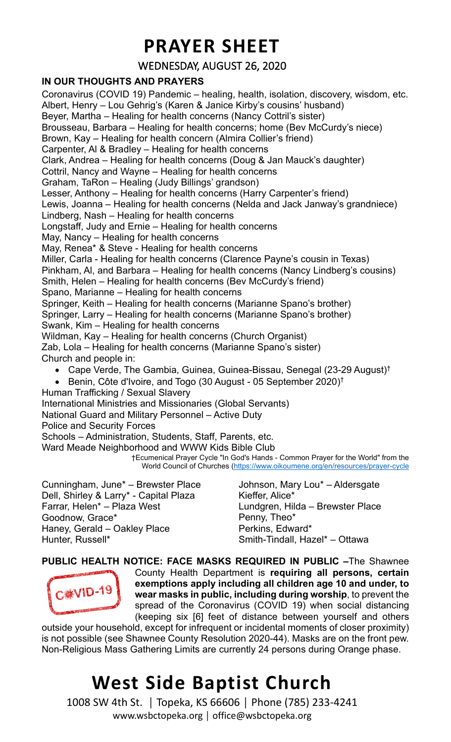### **PRAYER SHEET**

#### WEDNESDAY, AUGUST 26, 2020

#### **IN OUR THOUGHTS AND PRAYERS**

Coronavirus (COVID 19) Pandemic – healing, health, isolation, discovery, wisdom, etc. Albert, Henry – Lou Gehrig's (Karen & Janice Kirby's cousins' husband) Beyer, Martha – Healing for health concerns (Nancy Cottril's sister) Brousseau, Barbara – Healing for health concerns; home (Bev McCurdy's niece) Brown, Kay – Healing for health concern (Almira Collier's friend) Carpenter, Al & Bradley – Healing for health concerns Clark, Andrea – Healing for health concerns (Doug & Jan Mauck's daughter) Cottril, Nancy and Wayne – Healing for health concerns Graham, TaRon – Healing (Judy Billings' grandson) Lesser, Anthony – Healing for health concerns (Harry Carpenter's friend) Lewis, Joanna – Healing for health concerns (Nelda and Jack Janway's grandniece) Lindberg, Nash – Healing for health concerns Longstaff, Judy and Ernie – Healing for health concerns May, Nancy – Healing for health concerns May, Renea\* & Steve - Healing for health concerns Miller, Carla - Healing for health concerns (Clarence Payne's cousin in Texas) Pinkham, Al, and Barbara – Healing for health concerns (Nancy Lindberg's cousins) Smith, Helen – Healing for health concerns (Bev McCurdy's friend) Spano, Marianne – Healing for health concerns Springer, Keith – Healing for health concerns (Marianne Spano's brother) Springer, Larry – Healing for health concerns (Marianne Spano's brother) Swank, Kim – Healing for health concerns Wildman, Kay – Healing for health concerns (Church Organist) Zab, Lola – Healing for health concerns (Marianne Spano's sister) Church and people in: • Cape Verde, The Gambia, Guinea, Guinea-Bissau, Senegal (23-29 August)† • Benin, Côte d'Ivoire, and Togo (30 August - 05 September 2020) † Human Trafficking / Sexual Slavery International Ministries and Missionaries (Global Servants) National Guard and Military Personnel – Active Duty Police and Security Forces Schools – Administration, Students, Staff, Parents, etc. Ward Meade Neighborhood and WWW Kids Bible Club †Ecumenical Prayer Cycle "In God's Hands - Common Prayer for the World" from the World Council of Churches [\(https://www.oikoumene.org/en/resources/prayer-cycle](https://www.oikoumene.org/en/resources/prayer-cycle)

Cunningham, June\* – Brewster Place Dell, Shirley & Larry\* - Capital Plaza Farrar, Helen\* – Plaza West Goodnow, Grace\* Haney, Gerald – Oakley Place Hunter, Russell\*

Johnson, Mary Lou\* – Aldersgate Kieffer, Alice\* Lundgren, Hilda – Brewster Place Penny, Theo\* Perkins, Edward\* Smith-Tindall, Hazel\* – Ottawa

**PUBLIC HEALTH NOTICE: FACE MASKS REQUIRED IN PUBLIC –**The Shawnee County Health Department is **requiring all persons, certain exemptions apply including all children age 10 and under, to C**\*VID-19 **wear masks in public, including during worship**, to prevent the spread of the Coronavirus (COVID 19) when social distancing (keeping six [6] feet of distance between yourself and others

outside your household, except for infrequent or incidental moments of closer proximity) is not possible (see Shawnee County Resolution 2020-44). Masks are on the front pew. Non-Religious Mass Gathering Limits are currently 24 persons during Orange phase.

## **West Side Baptist Church**

1008 SW 4th St. │ Topeka, KS 66606 │ Phone (785) 233-4241 www.wsbctopeka.org │ office@wsbctopeka.org